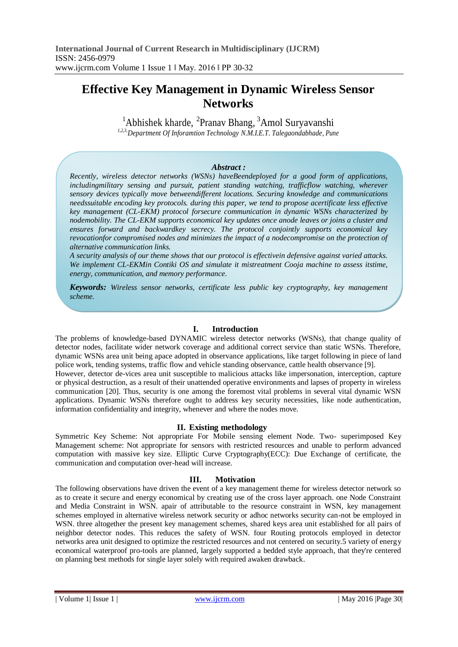# **Effective Key Management in Dynamic Wireless Sensor Networks**

 $<sup>1</sup>$ Abhishek kharde, <sup>2</sup>Pranav Bhang, <sup>3</sup>Amol Suryavanshi</sup> *1,2,3,Department Of Inforamtion Technology N.M.I.E.T. Talegaondabhade, Pune*

## *Abstract :*

*Recently, wireless detector networks (WSNs) haveBeendeployed for a good form of applications, includingmilitary sensing and pursuit, patient standing watching, trafficflow watching, wherever sensory devices typically move betweendifferent locations. Securing knowledge and communications needssuitable encoding key protocols. during this paper, we tend to propose acertificate less effective key management (CL-EKM) protocol forsecure communication in dynamic WSNs characterized by nodemobility. The CL-EKM supports economical key updates once anode leaves or joins a cluster and ensures forward and backwardkey secrecy. The protocol conjointly supports economical key revocationfor compromised nodes and minimizes the impact of a nodecompromise on the protection of alternative communication links.*

*A security analysis of our theme shows that our protocol is effectivein defensive against varied attacks. We implement CL-EKMin Contiki OS and simulate it mistreatment Cooja machine to assess itstime, energy, communication, and memory performance.*

*Keywords: Wireless sensor networks, certificate less public key cryptography, key management scheme.*

# **I. Introduction**

The problems of knowledge-based DYNAMIC wireless detector networks (WSNs), that change quality of detector nodes, facilitate wider network coverage and additional correct service than static WSNs. Therefore, dynamic WSNs area unit being apace adopted in observance applications, like target following in piece of land police work, tending systems, traffic flow and vehicle standing observance, cattle health observance [9]. However, detector de-vices area unit susceptible to malicious attacks like impersonation, interception, capture

or physical destruction, as a result of their unattended operative environments and lapses of property in wireless communication [20]. Thus, security is one among the foremost vital problems in several vital dynamic WSN applications. Dynamic WSNs therefore ought to address key security necessities, like node authentication, information confidentiality and integrity, whenever and where the nodes move.

#### **II. Existing methodology**

Symmetric Key Scheme: Not appropriate For Mobile sensing element Node. Two- superimposed Key Management scheme: Not appropriate for sensors with restricted resources and unable to perform advanced computation with massive key size. Elliptic Curve Cryptography(ECC): Due Exchange of certificate, the communication and computation over-head will increase.

## **III. Motivation**

The following observations have driven the event of a key management theme for wireless detector network so as to create it secure and energy economical by creating use of the cross layer approach. one Node Constraint and Media Constraint in WSN. apair of attributable to the resource constraint in WSN, key management schemes employed in alternative wireless network security or adhoc networks security can-not be employed in WSN. three altogether the present key management schemes, shared keys area unit established for all pairs of neighbor detector nodes. This reduces the safety of WSN. four Routing protocols employed in detector networks area unit designed to optimize the restricted resources and not centered on security.5 variety of energy economical waterproof pro-tools are planned, largely supported a bedded style approach, that they're centered on planning best methods for single layer solely with required awaken drawback.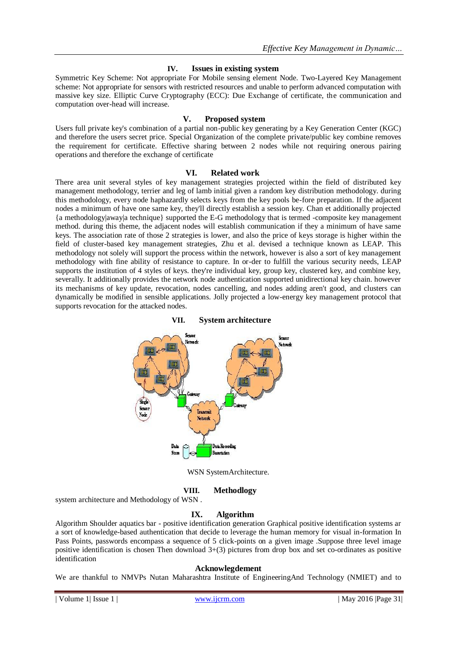# **IV. Issues in existing system**

Symmetric Key Scheme: Not appropriate For Mobile sensing element Node. Two-Layered Key Management scheme: Not appropriate for sensors with restricted resources and unable to perform advanced computation with massive key size. Elliptic Curve Cryptography (ECC): Due Exchange of certificate, the communication and computation over-head will increase.

# **V. Proposed system**

Users full private key's combination of a partial non-public key generating by a Key Generation Center (KGC) and therefore the users secret price. Special Organization of the complete private/public key combine removes the requirement for certificate. Effective sharing between 2 nodes while not requiring onerous pairing operations and therefore the exchange of certificate

## **VI. Related work**

There area unit several styles of key management strategies projected within the field of distributed key management methodology, terrier and leg of lamb initial given a random key distribution methodology. during this methodology, every node haphazardly selects keys from the key pools be-fore preparation. If the adjacent nodes a minimum of have one same key, they'll directly establish a session key. Chan et additionally projected {a methodology|away|a technique} supported the E-G methodology that is termed -composite key management method. during this theme, the adjacent nodes will establish communication if they a minimum of have same keys. The association rate of those 2 strategies is lower, and also the price of keys storage is higher within the field of cluster-based key management strategies, Zhu et al. devised a technique known as LEAP. This methodology not solely will support the process within the network, however is also a sort of key management methodology with fine ability of resistance to capture. In or-der to fulfill the various security needs, LEAP supports the institution of 4 styles of keys. they're individual key, group key, clustered key, and combine key, severally. It additionally provides the network node authentication supported unidirectional key chain. however its mechanisms of key update, revocation, nodes cancelling, and nodes adding aren't good, and clusters can dynamically be modified in sensible applications. Jolly projected a low-energy key management protocol that supports revocation for the attacked nodes.



### **VII. System architecture**

WSN SystemArchitecture.

#### **VIII. Methodlogy**

system architecture and Methodology of WSN .

# **IX. Algorithm**

Algorithm Shoulder aquatics bar - positive identification generation Graphical positive identification systems ar a sort of knowledge-based authentication that decide to leverage the human memory for visual in-formation In Pass Points, passwords encompass a sequence of 5 click-points on a given image .Suppose three level image positive identification is chosen Then download 3+(3) pictures from drop box and set co-ordinates as positive identification

#### **Acknowlegdement**

We are thankful to NMVPs Nutan Maharashtra Institute of EngineeringAnd Technology (NMIET) and to